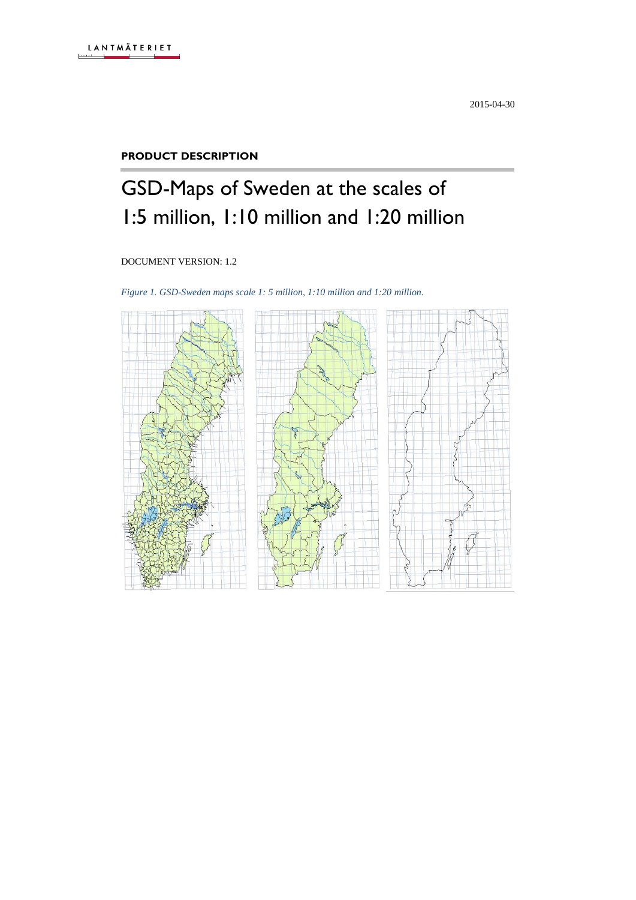#### **PRODUCT DESCRIPTION**

# GSD-Maps of Sweden at the scales of 1:5 million, 1:10 million and 1:20 million

DOCUMENT VERSION: 1.2

*Figure 1. GSD-Sweden maps scale 1: 5 million, 1:10 million and 1:20 million.*

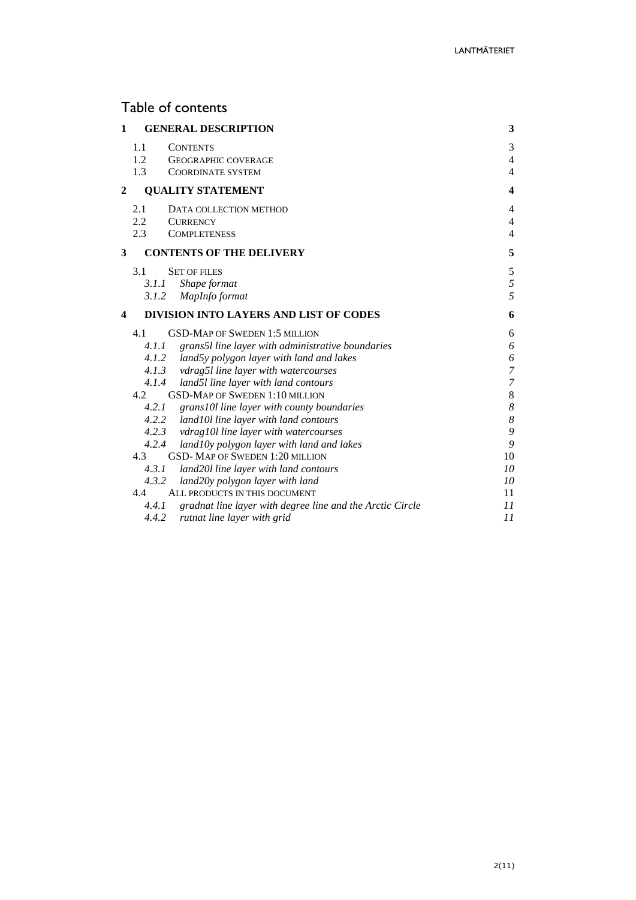# Table of contents

| 1              |            | <b>GENERAL DESCRIPTION</b>                                | 3                   |
|----------------|------------|-----------------------------------------------------------|---------------------|
|                | 1.1<br>1.2 | <b>CONTENTS</b><br><b>GEOGRAPHIC COVERAGE</b>             | 3<br>$\overline{4}$ |
|                | 1.3        | COORDINATE SYSTEM                                         | $\overline{4}$      |
| $\overline{c}$ |            | <b>QUALITY STATEMENT</b>                                  | $\boldsymbol{4}$    |
|                | 2.1        | DATA COLLECTION METHOD                                    | $\overline{4}$      |
|                | 2.2        | <b>CURRENCY</b>                                           | $\overline{4}$      |
|                | 2.3        | <b>COMPLETENESS</b>                                       | $\overline{4}$      |
| 3              |            | <b>CONTENTS OF THE DELIVERY</b>                           | 5                   |
|                | 3.1        | <b>SET OF FILES</b>                                       | $\sqrt{5}$          |
|                | 3.1.1      | Shape format                                              | 5                   |
|                | 3.1.2      | MapInfo format                                            | 5                   |
| 4              |            | <b>DIVISION INTO LAYERS AND LIST OF CODES</b>             | 6                   |
|                | 4.1        | <b>GSD-MAP OF SWEDEN 1:5 MILLION</b>                      | 6                   |
|                | 4.1.1      | grans5l line layer with administrative boundaries         | 6                   |
|                |            | 4.1.2 land5y polygon layer with land and lakes            | 6                   |
|                |            | 4.1.3 vdrag5l line layer with watercourses                | $\overline{7}$      |
|                | 4.1.4      | land5l line layer with land contours                      | $\overline{7}$      |
|                | 4.2        | <b>GSD-MAP OF SWEDEN 1:10 MILLION</b>                     | $\,8\,$             |
|                | 4.2.1      | grans10l line layer with county boundaries                | $\boldsymbol{8}$    |
|                |            | 4.2.2 land10l line layer with land contours               | $\boldsymbol{8}$    |
|                |            | 4.2.3 vdrag10l line layer with watercourses               | 9                   |
|                | 4.2.4      | land10y polygon layer with land and lakes                 | 9                   |
|                | 4.3        | <b>GSD-MAP OF SWEDEN 1:20 MILLION</b>                     | 10                  |
|                | 4.3.1      | land20l line layer with land contours                     | 10                  |
|                | 4.3.2      | land20y polygon layer with land                           | 10                  |
|                | 4.4        | ALL PRODUCTS IN THIS DOCUMENT                             | 11                  |
|                | 4.4.1      | gradnat line layer with degree line and the Arctic Circle | 11                  |
|                | 4.4.2      | rutnat line layer with grid                               | 11                  |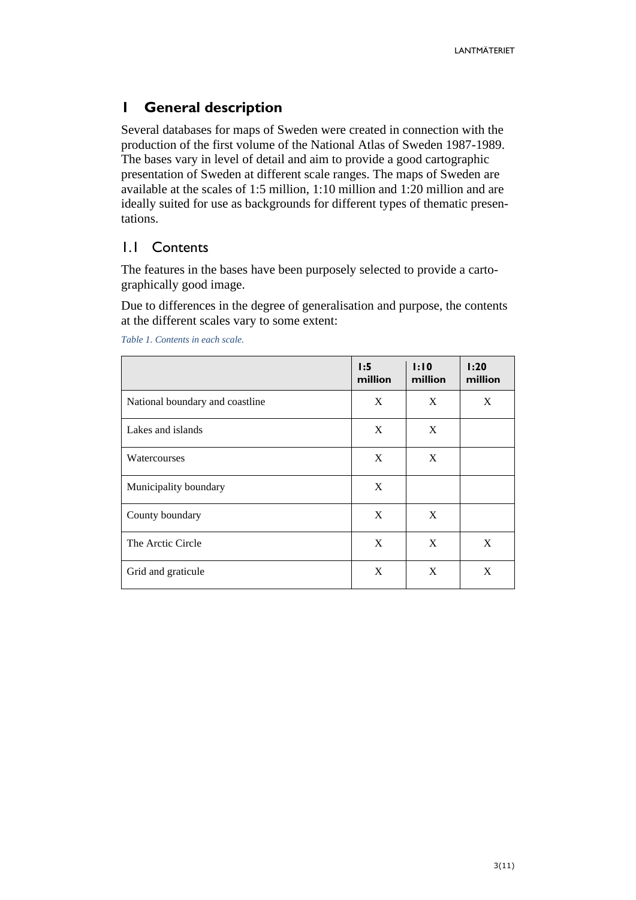### <span id="page-2-0"></span>**1 General description**

Several databases for maps of Sweden were created in connection with the production of the first volume of the National Atlas of Sweden 1987-1989. The bases vary in level of detail and aim to provide a good cartographic presentation of Sweden at different scale ranges. The maps of Sweden are available at the scales of 1:5 million, 1:10 million and 1:20 million and are ideally suited for use as backgrounds for different types of thematic presentations.

### <span id="page-2-1"></span>1.1 Contents

The features in the bases have been purposely selected to provide a cartographically good image.

Due to differences in the degree of generalisation and purpose, the contents at the different scales vary to some extent:

|                                 | 1:5<br>million | 1:10<br>million | 1:20<br>million |
|---------------------------------|----------------|-----------------|-----------------|
| National boundary and coastline | X              | X               | X               |
| Lakes and islands               | X              | X               |                 |
| Watercourses                    | X              | X               |                 |
| Municipality boundary           | X              |                 |                 |
| County boundary                 | X              | X               |                 |
| The Arctic Circle               | X              | X               | X               |
| Grid and graticule              | X              | X               | X               |

*Table 1. Contents in each scale.*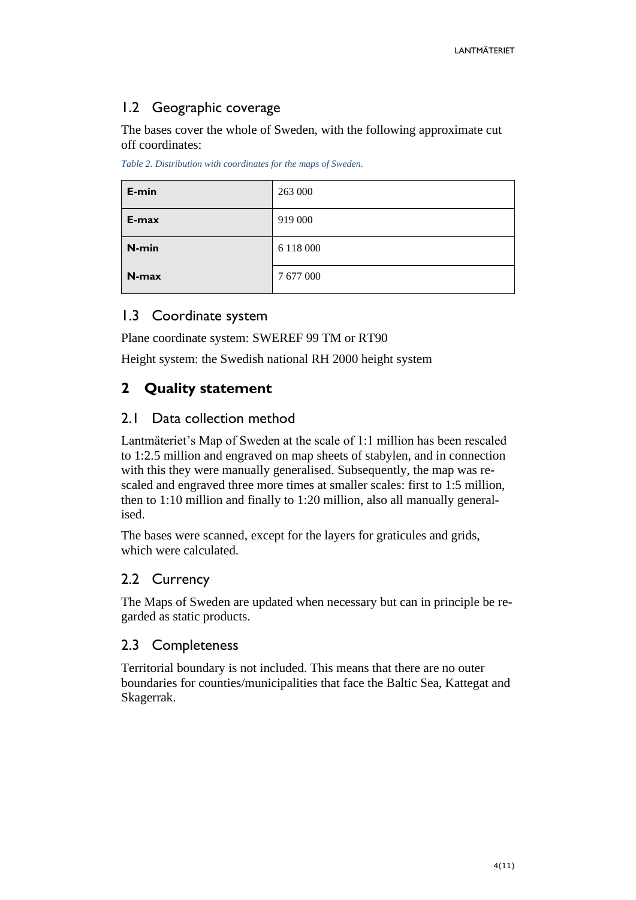# <span id="page-3-0"></span>1.2 Geographic coverage

The bases cover the whole of Sweden, with the following approximate cut off coordinates:

*Table 2. Distribution with coordinates for the maps of Sweden.*

| E-min | 263 000   |
|-------|-----------|
| E-max | 919 000   |
| N-min | 6 118 000 |
| N-max | 7677000   |

### <span id="page-3-1"></span>1.3 Coordinate system

Plane coordinate system: SWEREF 99 TM or RT90

Height system: the Swedish national RH 2000 height system

# <span id="page-3-2"></span>**2 Quality statement**

### <span id="page-3-3"></span>2.1 Data collection method

Lantmäteriet's Map of Sweden at the scale of 1:1 million has been rescaled to 1:2.5 million and engraved on map sheets of stabylen, and in connection with this they were manually generalised. Subsequently, the map was rescaled and engraved three more times at smaller scales: first to 1:5 million, then to 1:10 million and finally to 1:20 million, also all manually generalised.

The bases were scanned, except for the layers for graticules and grids, which were calculated.

# <span id="page-3-4"></span>2.2 Currency

The Maps of Sweden are updated when necessary but can in principle be regarded as static products.

### <span id="page-3-5"></span>2.3 Completeness

Territorial boundary is not included. This means that there are no outer boundaries for counties/municipalities that face the Baltic Sea, Kattegat and Skagerrak.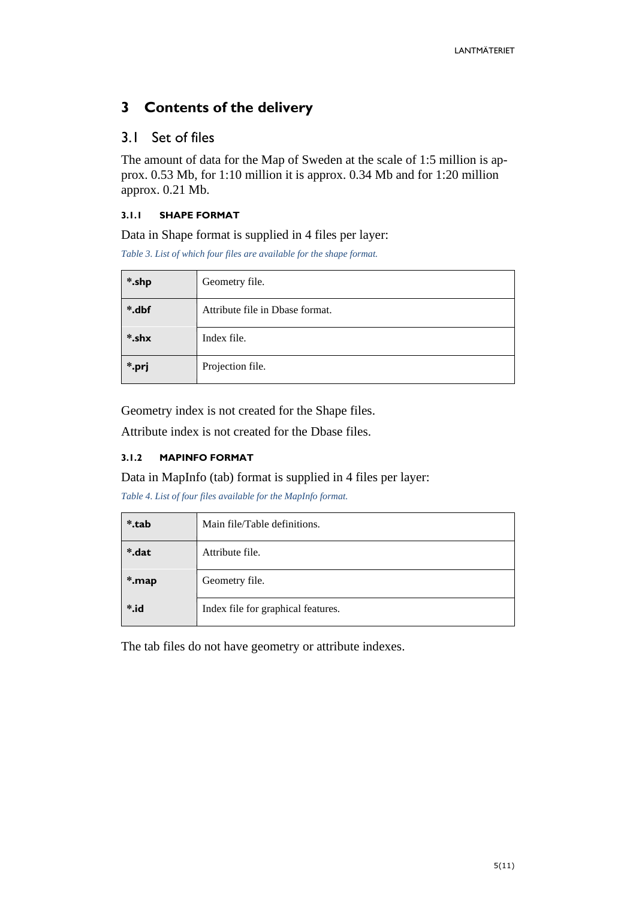# <span id="page-4-0"></span>**3 Contents of the delivery**

### <span id="page-4-1"></span>3.1 Set of files

The amount of data for the Map of Sweden at the scale of 1:5 million is approx. 0.53 Mb, for 1:10 million it is approx. 0.34 Mb and for 1:20 million approx. 0.21 Mb.

#### <span id="page-4-2"></span>**3.1.1 SHAPE FORMAT**

Data in Shape format is supplied in 4 files per layer:

*Table 3. List of which four files are available for the shape format.*

| *.shp<br>Geometry file. |                                 |  |
|-------------------------|---------------------------------|--|
| *.dbf                   | Attribute file in Dbase format. |  |
| *.shx                   | Index file.                     |  |
| *.prj                   | Projection file.                |  |

Geometry index is not created for the Shape files.

Attribute index is not created for the Dbase files.

#### <span id="page-4-3"></span>**3.1.2 MAPINFO FORMAT**

Data in MapInfo (tab) format is supplied in 4 files per layer:

*Table 4. List of four files available for the MapInfo format.*

| *.tab<br>Main file/Table definitions. |                                    |
|---------------------------------------|------------------------------------|
| *.dat                                 | Attribute file.                    |
| *.map                                 | Geometry file.                     |
| $\ddot{\ }$ .id                       | Index file for graphical features. |

The tab files do not have geometry or attribute indexes.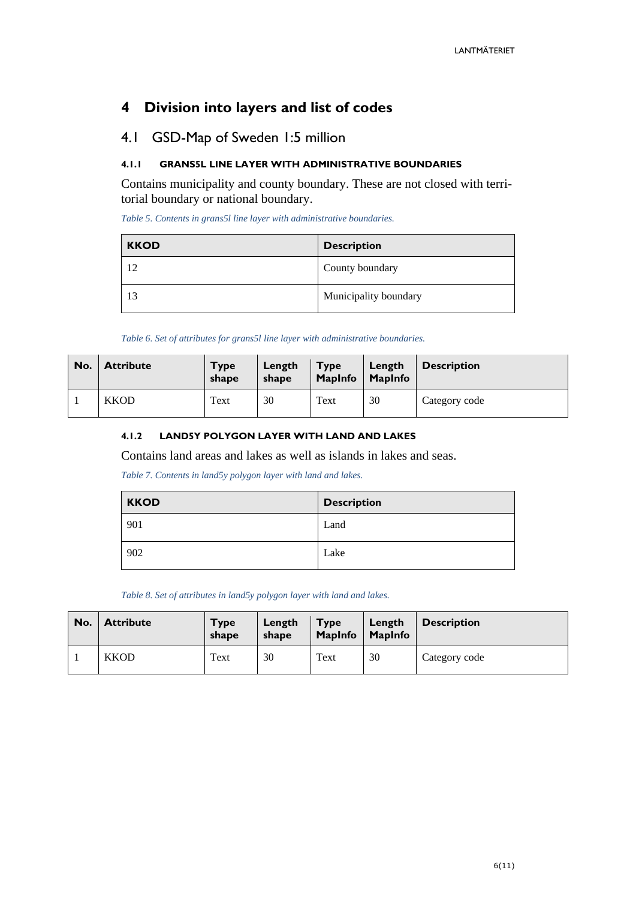# <span id="page-5-0"></span>**4 Division into layers and list of codes**

### <span id="page-5-1"></span>4.1 GSD-Map of Sweden 1:5 million

#### <span id="page-5-2"></span>**4.1.1 GRANS5L LINE LAYER WITH ADMINISTRATIVE BOUNDARIES**

Contains municipality and county boundary. These are not closed with territorial boundary or national boundary.

*Table 5. Contents in grans5l line layer with administrative boundaries.*

| <b>KKOD</b> | <b>Description</b>    |
|-------------|-----------------------|
|             | County boundary       |
| 13          | Municipality boundary |

*Table 6. Set of attributes for grans5l line layer with administrative boundaries.*

| No. | <b>Attribute</b> | <b>Type</b><br>shape | Length<br>shape | <b>Type</b><br><b>MapInfo</b> | Length<br><b>MapInfo</b> | <b>Description</b> |
|-----|------------------|----------------------|-----------------|-------------------------------|--------------------------|--------------------|
|     | <b>KKOD</b>      | Text                 | 30              | Text                          | 30                       | Category code      |

#### <span id="page-5-3"></span>**4.1.2 LAND5Y POLYGON LAYER WITH LAND AND LAKES**

Contains land areas and lakes as well as islands in lakes and seas.

*Table 7. Contents in land5y polygon layer with land and lakes.*

| <b>KKOD</b> | <b>Description</b> |
|-------------|--------------------|
| 901         | Land               |
| 902         | Lake               |

*Table 8. Set of attributes in land5y polygon layer with land and lakes.*

| No. | <b>Attribute</b> | <b>Type</b><br>shape | Length<br>shape | <b>Type</b><br><b>MapInfo</b> | Length<br>MapInfo | <b>Description</b> |
|-----|------------------|----------------------|-----------------|-------------------------------|-------------------|--------------------|
|     | <b>KKOD</b>      | Text                 | 30              | Text                          | 30                | Category code      |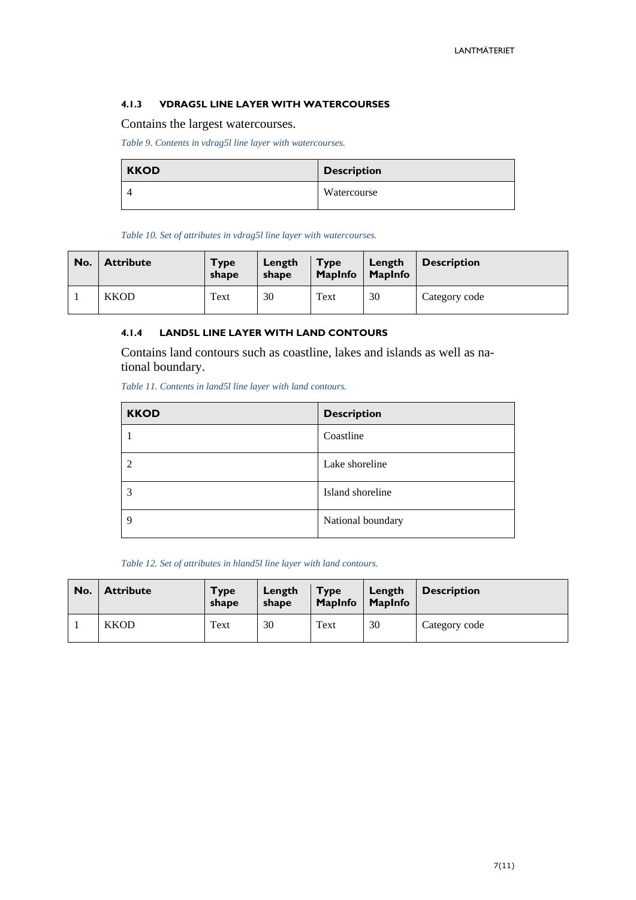#### <span id="page-6-0"></span>**4.1.3 VDRAG5L LINE LAYER WITH WATERCOURSES**

Contains the largest watercourses.

*Table 9. Contents in vdrag5l line layer with watercourses.*

| <b>KKOD</b> | <b>Description</b> |
|-------------|--------------------|
|             | Watercourse        |

*Table 10. Set of attributes in vdrag5l line layer with watercourses.*

| No. | <b>Attribute</b> | <b>Type</b><br>shape | Length<br>shape | <b>Type</b><br><b>MapInfo</b> | Length<br><b>MapInfo</b> | <b>Description</b> |
|-----|------------------|----------------------|-----------------|-------------------------------|--------------------------|--------------------|
|     | <b>KKOD</b>      | Text                 | 30              | Text                          | 30                       | Category code      |

#### <span id="page-6-1"></span>**4.1.4 LAND5L LINE LAYER WITH LAND CONTOURS**

Contains land contours such as coastline, lakes and islands as well as national boundary.

*Table 11. Contents in land5l line layer with land contours.*

| <b>KKOD</b> | <b>Description</b> |
|-------------|--------------------|
|             | Coastline          |
| C           | Lake shoreline     |
| 3           | Island shoreline   |
| 9           | National boundary  |

*Table 12. Set of attributes in hland5l line layer with land contours.*

| No. | <b>Attribute</b> | <b>Type</b><br>shape | Length<br>shape | <b>Type</b><br><b>MapInfo</b> | Length<br><b>MapInfo</b> | <b>Description</b> |
|-----|------------------|----------------------|-----------------|-------------------------------|--------------------------|--------------------|
|     | <b>KKOD</b>      | Text                 | 30              | Text                          | 30                       | Category code      |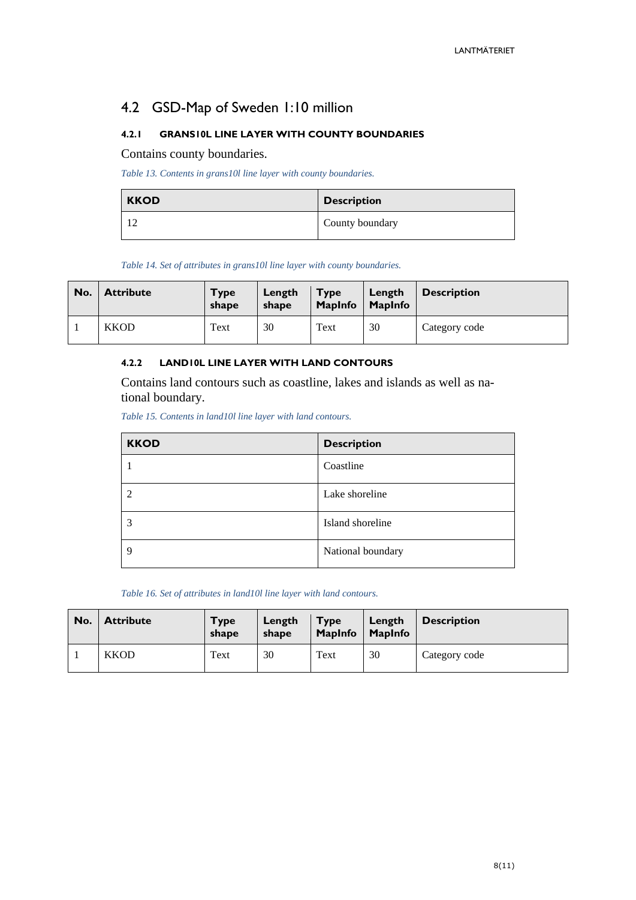# <span id="page-7-0"></span>4.2 GSD-Map of Sweden 1:10 million

#### <span id="page-7-1"></span>**4.2.1 GRANS10L LINE LAYER WITH COUNTY BOUNDARIES**

Contains county boundaries.

*Table 13. Contents in grans10l line layer with county boundaries.*

| <b>KKOD</b> | <b>Description</b> |
|-------------|--------------------|
|             | County boundary    |

*Table 14. Set of attributes in grans10l line layer with county boundaries.*

| No. | <b>Attribute</b> | <b>Type</b><br>shape | Length<br>shape | <b>Type</b><br><b>MapInfo</b> | Length<br><b>MapInfo</b> | <b>Description</b> |
|-----|------------------|----------------------|-----------------|-------------------------------|--------------------------|--------------------|
|     | <b>KKOD</b>      | Text                 | 30              | Text                          | 30                       | Category code      |

#### <span id="page-7-2"></span>**4.2.2 LAND10L LINE LAYER WITH LAND CONTOURS**

Contains land contours such as coastline, lakes and islands as well as national boundary.

*Table 15. Contents in land10l line layer with land contours.*

| <b>KKOD</b> | <b>Description</b> |
|-------------|--------------------|
|             | Coastline          |
| ി           | Lake shoreline     |
| 3           | Island shoreline   |
| 9           | National boundary  |

*Table 16. Set of attributes in land10l line layer with land contours.*

| No. | <b>Attribute</b> | <b>Type</b><br>shape | Length<br>shape | <b>Type</b><br><b>MapInfo</b> | Length<br>  MapInfo | <b>Description</b> |
|-----|------------------|----------------------|-----------------|-------------------------------|---------------------|--------------------|
|     | <b>KKOD</b>      | Text                 | 30              | Text                          | 30                  | Category code      |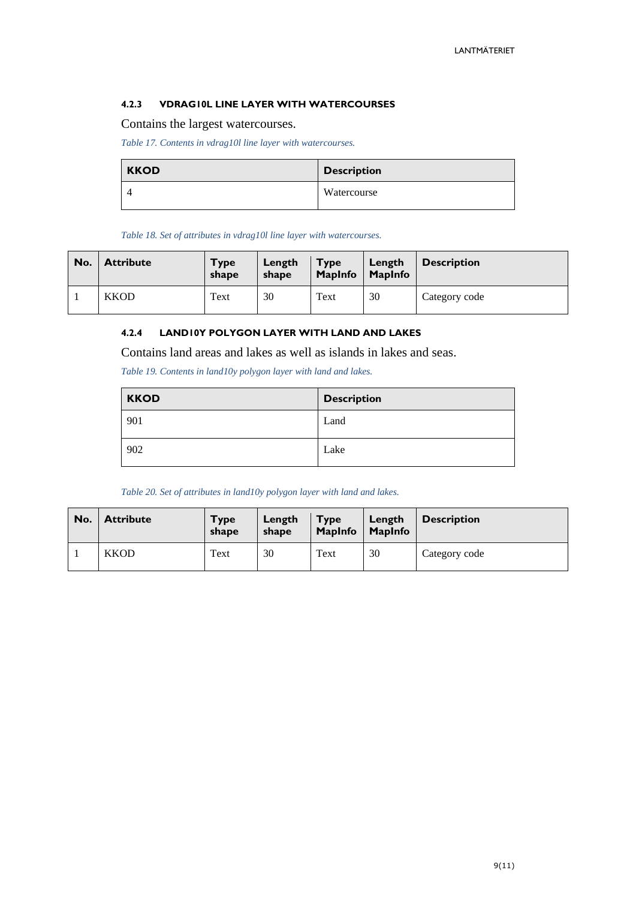#### <span id="page-8-0"></span>**4.2.3 VDRAG10L LINE LAYER WITH WATERCOURSES**

Contains the largest watercourses.

*Table 17. Contents in vdrag10l line layer with watercourses.*

| <b>KKOD</b> | <b>Description</b> |
|-------------|--------------------|
|             | Watercourse        |

*Table 18. Set of attributes in vdrag10l line layer with watercourses.*

| No. | <b>Attribute</b> | <b>Type</b><br>shape | Length<br>shape | <b>Type</b><br><b>MapInfo</b> | Length<br>MapInfo | <b>Description</b> |
|-----|------------------|----------------------|-----------------|-------------------------------|-------------------|--------------------|
|     | <b>KKOD</b>      | Text                 | 30              | Text                          | 30                | Category code      |

#### <span id="page-8-1"></span>**4.2.4 LAND10Y POLYGON LAYER WITH LAND AND LAKES**

Contains land areas and lakes as well as islands in lakes and seas.

*Table 19. Contents in land10y polygon layer with land and lakes.*

| <b>KKOD</b> | <b>Description</b> |
|-------------|--------------------|
| 901         | Land               |
| 902         | Lake               |

*Table 20. Set of attributes in land10y polygon layer with land and lakes.*

| No. | <b>Attribute</b> | <b>Type</b><br>shape | Length<br>shape | <b>Type</b><br><b>MapInfo</b> | Length<br>MapInfo | <b>Description</b> |
|-----|------------------|----------------------|-----------------|-------------------------------|-------------------|--------------------|
|     | <b>KKOD</b>      | Text                 | 30              | Text                          | 30                | Category code      |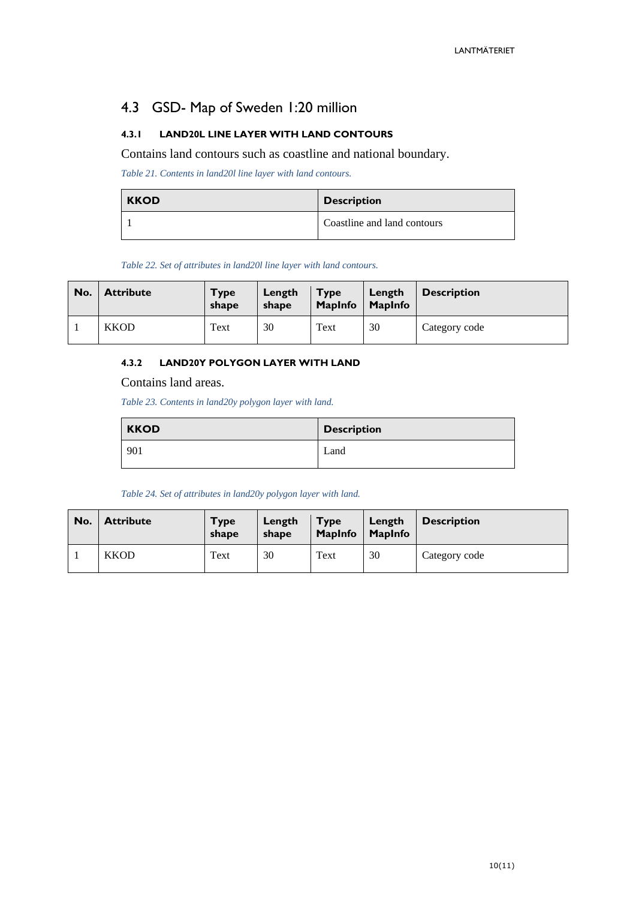# <span id="page-9-0"></span>4.3 GSD- Map of Sweden 1:20 million

#### <span id="page-9-1"></span>**4.3.1 LAND20L LINE LAYER WITH LAND CONTOURS**

Contains land contours such as coastline and national boundary.

*Table 21. Contents in land20l line layer with land contours.*

| <b>KKOD</b> | <b>Description</b>          |
|-------------|-----------------------------|
|             | Coastline and land contours |

*Table 22. Set of attributes in land20l line layer with land contours.*

| No. | <b>Attribute</b> | Type<br>shape | Length<br>shape | <b>Type</b><br><b>MapInfo</b> | Length<br><b>MapInfo</b> | <b>Description</b> |
|-----|------------------|---------------|-----------------|-------------------------------|--------------------------|--------------------|
|     | <b>KKOD</b>      | Text          | 30              | Text                          | 30                       | Category code      |

#### <span id="page-9-2"></span>**4.3.2 LAND20Y POLYGON LAYER WITH LAND**

Contains land areas.

*Table 23. Contents in land20y polygon layer with land.*

| <b>KKOD</b> | <b>Description</b> |
|-------------|--------------------|
| 901         | Land               |

*Table 24. Set of attributes in land20y polygon layer with land.*

| No. | <b>Attribute</b> | <b>Type</b><br>shape | Length<br>shape | <b>Type</b><br><b>MapInfo</b> | Length<br><b>MapInfo</b> | <b>Description</b> |
|-----|------------------|----------------------|-----------------|-------------------------------|--------------------------|--------------------|
|     | <b>KKOD</b>      | Text                 | 30              | Text                          | 30                       | Category code      |